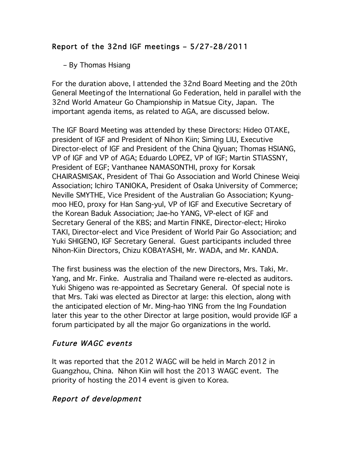# Report of the 32nd IGF meetings – 5/27-28/2011

#### – By Thomas Hsiang

For the duration above, I attended the 32nd Board Meeting and the 20th General Meetingof the International Go Federation, held in parallel with the 32nd World Amateur Go Championship in Matsue City, Japan. The important agenda items, as related to AGA, are discussed below.

The IGF Board Meeting was attended by these Directors: Hideo OTAKE, president of IGF and President of Nihon Kiin; Siming LIU, Executive Director-elect of IGF and President of the China Qiyuan; Thomas HSIANG, VP of IGF and VP of AGA; Eduardo LOPEZ, VP of IGF; Martin STIASSNY, President of EGF; Vanthanee NAMASONTHI, proxy for Korsak CHAIRASMISAK, President of Thai Go Association and World Chinese Weiqi Association; Ichiro TANIOKA, President of Osaka University of Commerce; Neville SMYTHE, Vice President of the Australian Go Association; Kyungmoo HEO, proxy for Han Sang-yul, VP of IGF and Executive Secretary of the Korean Baduk Association; Jae-ho YANG, VP-elect of IGF and Secretary General of the KBS; and Martin FINKE, Director-elect; Hiroko TAKI, Director-elect and Vice President of World Pair Go Association; and Yuki SHIGENO, IGF Secretary General. Guest participants included three Nihon-Kiin Directors, Chizu KOBAYASHI, Mr. WADA, and Mr. KANDA.

The first business was the election of the new Directors, Mrs. Taki, Mr. Yang, and Mr. Finke. Australia and Thailand were re-elected as auditors. Yuki Shigeno was re-appointed as Secretary General. Of special note is that Mrs. Taki was elected as Director at large: this election, along with the anticipated election of Mr. Ming-hao YING from the Ing Foundation later this year to the other Director at large position, would provide IGF a forum participated by all the major Go organizations in the world.

## Future WAGC events

It was reported that the 2012 WAGC will be held in March 2012 in Guangzhou, China. Nihon Kiin will host the 2013 WAGC event. The priority of hosting the 2014 event is given to Korea.

## Report of development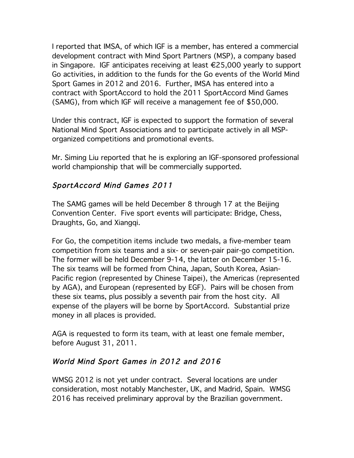I reported that IMSA, of which IGF is a member, has entered a commercial development contract with Mind Sport Partners (MSP), a company based in Singapore. IGF anticipates receiving at least €25,000 yearly to support Go activities, in addition to the funds for the Go events of the World Mind Sport Games in 2012 and 2016. Further, IMSA has entered into a contract with SportAccord to hold the 2011 SportAccord Mind Games (SAMG), from which IGF will receive a management fee of \$50,000.

Under this contract, IGF is expected to support the formation of several National Mind Sport Associations and to participate actively in all MSPorganized competitions and promotional events.

Mr. Siming Liu reported that he is exploring an IGF-sponsored professional world championship that will be commercially supported.

## SportAccord Mind Games 2011

The SAMG games will be held December 8 through 17 at the Beijing Convention Center. Five sport events will participate: Bridge, Chess, Draughts, Go, and Xiangqi.

For Go, the competition items include two medals, a five-member team competition from six teams and a six- or seven-pair pair-go competition. The former will be held December 9-14, the latter on December 15-16. The six teams will be formed from China, Japan, South Korea, Asian-Pacific region (represented by Chinese Taipei), the Americas (represented by AGA), and European (represented by EGF). Pairs will be chosen from these six teams, plus possibly a seventh pair from the host city. All expense of the players will be borne by SportAccord. Substantial prize money in all places is provided.

AGA is requested to form its team, with at least one female member, before August 31, 2011.

## World Mind Sport Games in 2012 and 2016

WMSG 2012 is not yet under contract. Several locations are under consideration, most notably Manchester, UK, and Madrid, Spain. WMSG 2016 has received preliminary approval by the Brazilian government.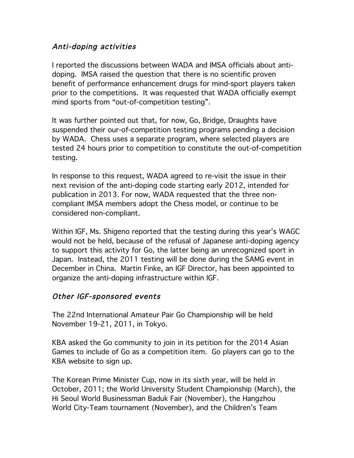#### Anti-doping activities

I reported the discussions between WADA and IMSA officials about antidoping. IMSA raised the question that there is no scientific proven benefit of performance enhancement drugs for mind-sport players taken prior to the competitions. It was requested that WADA officially exempt mind sports from "out-of-competition testing".

It was further pointed out that, for now, Go, Bridge, Draughts have suspended their our-of-competition testing programs pending a decision by WADA. Chess uses a separate program, where selected players are tested 24 hours prior to competition to constitute the out-of-competition testing.

In response to this request, WADA agreed to re-visit the issue in their next revision of the anti-doping code starting early 2012, intended for publication in 2013. For now, WADA requested that the three noncompliant IMSA members adopt the Chess model, or continue to be considered non-compliant.

Within IGF, Ms. Shigeno reported that the testing during this year's WAGC would not be held, because of the refusal of Japanese anti-doping agency to support this activity for Go, the latter being an unrecognized sport in Japan. Instead, the 2011 testing will be done during the SAMG event in December in China. Martin Finke, an IGF Director, has been appointed to organize the anti-doping infrastructure within IGF.

#### Other IGF-sponsored events

The 22nd International Amateur Pair Go Championship will be held November 19-21, 2011, in Tokyo.

KBA asked the Go community to join in its petition for the 2014 Asian Games to include of Go as a competition item. Go players can go to the KBA website to sign up.

The Korean Prime Minister Cup, now in its sixth year, will be held in October, 2011; the World University Student Championship (March), the Hi Seoul World Businessman Baduk Fair (November), the Hangzhou World City-Team tournament (November), and the Children's Team